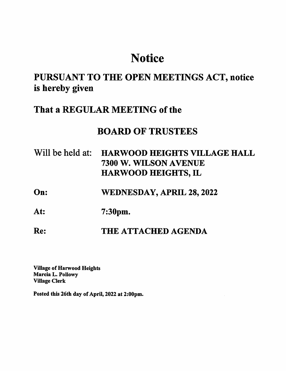# **Notice**

## PURSUANT TO THE OPEN MEETINGS ACT, notice is hereby given

### That a REGULAR MEETING of the

### BOARD OF TRUSTEES

- Will be held at: HARWOOD HEIGHTS VILLAGE HALL 7300 W. WILSON AVENUE HARWOOD HEIGHTS, IL
- On: WEDNESDAY, APRIL 28, 2022
- At: 7:30pm.
- Re: THE ATTACHED AGENDA

Village of Harwood Heights Marcia L. Pollowy Village Clerk

Posted this 26th day of April, 2022 at 2:00pm.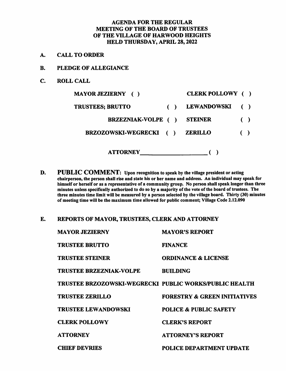#### AGENDA FOR THE REGULAR MEETING OF THE BOARD OF TRUSTEES OF THE VILLAGE OF HARWOOD HEIGHTS HELD THURSDAY, APRIL 28,2022

- A. CALL TO ORDER
- B. PLEDGE OF ALLEGIANCE
- C. ROLL CALL

| <b>MAYOR JEZIERNY</b> ()  | CLERK POLLOWY ()   |                        |
|---------------------------|--------------------|------------------------|
| <b>TRUSTEES; BRUTTO</b>   | <b>LEWANDOWSKI</b> |                        |
| <b>BRZEZNIAK-VOLPE</b> () | <b>STEINER</b>     | $\left( \quad \right)$ |
| BRZOZOWSKI-WEGRECKI ()    | <b>ZERILLO</b>     |                        |
| <b>ATTORNEY</b>           |                    |                        |

- D. PUBLIC COMMENT: Upon recognition to speak by the village president or acting chairperson, the person shall rise and state his or her name and address. An individual may speak for himself or herself or as a representative of a community group. No person shall speak longer than three minutes unless specifically authorized to do so hy a majority of the vote of the hoard of trustees. The three minutes time limit will be measured by a person selected by the village board. Thirty (30) minutes of meeting time will he the maximum time allowed for public comment; Village Code 2.12.090
- E. REPORTS OF MAYOR, TRUSTEES, CLERK AND ATTORNEY

| <b>MAYOR JEZIERNY</b>                                         | <b>MAYOR'S REPORT</b>                   |
|---------------------------------------------------------------|-----------------------------------------|
| <b>TRUSTEE BRUTTO</b>                                         | <b>FINANCE</b>                          |
| <b>TRUSTEE STEINER</b>                                        | <b>ORDINANCE &amp; LICENSE</b>          |
| <b>TRUSTEE BRZEZNIAK-VOLPE</b>                                | <b>RUILDING</b>                         |
| <b>TRUSTEE BRZOZOWSKI-WEGRECKI PUBLIC WORKS/PUBLIC HEALTH</b> |                                         |
| <b>TRUSTEE ZERILLO</b>                                        | <b>FORESTRY &amp; GREEN INITIATIVES</b> |
| <b>TRUSTEE LEWANDOWSKI</b>                                    | <b>POLICE &amp; PUBLIC SAFETY</b>       |
| <b>CLERK POLLOWY</b>                                          | <b>CLERK'S REPORT</b>                   |
| <b>ATTORNEY</b>                                               | <b>ATTORNEY'S REPORT</b>                |
| <b>CHIEF DEVRIES</b>                                          | <b>POLICE DEPARTMENT UPDATE</b>         |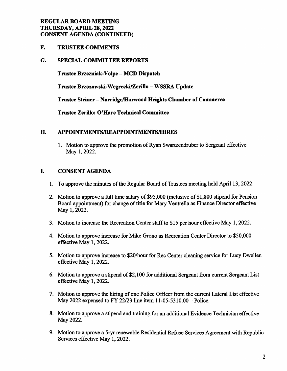#### REGULAR BOARD MEETING THURSDAY, APRIL 28,2022 CONSENT AGENDA (CONTINUED)

F. TRUSTEE COMMENTS

#### G. SPECIAL COMMITTEE REPORTS

Trustee Brzezniak-Volpe - MCD Dispatch

Trustee Brzozowski-Wegrecki/Zerillo - WSSRA Update

Trustee Steiner - Norridge/Harwood Heights Chamber of Commerce

Trustee Zerillo: O'Hare Technical Committee

#### H. APPOINTMENTS/REAPPOINTMENTS/HIRES

1. Motion to approve the promotion of Ryan Swartzendruber to Sergeant effective May 1, 2022.

#### I. CONSENT AGENDA

- 1. To approve the minutes of the Regular Board of Trustees meeting held April 13,2022.
- 2. Motion to approve a full time salary of \$95,000 (inclusive of \$1,800 stipend for Pension Board appointment) for change of title for Mary Ventrella as Finance Director effective May 1,2022.
- 3. Motion to increase the Recreation Center staff to \$15 per hour effective May 1,2022.
- 4. Motion to approve increase for Mike Grono as Recreation Center Director to \$50,000 effective May 1,2022.
- 5. Motion to approve increase to \$20/hour for Rec Center cleaning service for Lucy Dwellen effective May 1,2022.
- 6. Motion to approve a stipend of \$2,100 for additional Sergeant from current Sergeant List effective May 1, 2022.
- 7. Motion to approve the hiring of one Police Officer from the current Lateral List effective May 2022 expensed to FY 22/23 line item 11-05-5310.00 - Police.
- 8. Motion to approve a stipend and training for an additional Evidence Technician effective May 2022.
- 9. Motion to approve a 5-yr renewable Residential Refuse Services Agreement with Republic Services effective May 1, 2022.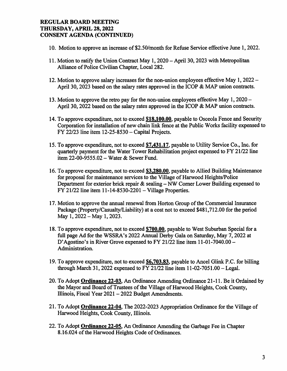#### REGULAR BOARD MEETING THURSDAY, APRIL 28,2022 CONSENT AGENDA (CONTINUED)

- 10. Motion to approve an increase of \$2.50/month for Refuse Service effective June 1,2022.
- 11. Motion to ratify the Union Contract May 1, 2020 April 30,2023 with Metropolitan Alliance of Police Civilian Chapter, Local 282.
- 12. Motion to approve salary increases for the non-union employees effective May 1, 2022 April 30, 2023 based on the salary rates approved in the ICOP & MAP union contracts.
- 13. Motion to approve the retro pay for the non-union employees effective May 1,2020 April 30, 2022 based on the salary rates approved in the ICOP & MAP union contracts.
- 14. To approve expenditure, not to exceed \$18,100.00, payable to Osceola Fence and Security Corporation for installation of new chain link fence at the Public Works facility expensed to  $FY$  22/23 line item 12-25-8530 - Capital Projects.
- 15. To approve expenditure, not to exceed \$7.431.17. payable to Utility Service Co., Inc. for quarterly payment for the Water Tower Rehabilitation project expensed to FY 21/22 line item 22-00-9555.02 - Water & Sewer Fund.
- 16. To approve expenditure, not to exceed \$3,280.00, payable to Allied Building Maintenance for proposal for maintenance services to the Village of Harwood Heights/Police Department for exterior brick repair & sealing - NW Comer Lower Building expensed to  $FY$  21/22 line item 11-14-8530-2201 - Village Properties.
- 17. Motion to approve the annual renewal from Horton Group of the Commercial Insurance Package (Property/Casualty/Liability) at a cost not to exceed \$481,712.00 for the period May 1,2022-May 1,2023.
- 18. To approve expenditure, not to exceed \$700.00. payable to West Suburban Special for a full page Ad for the WSSRA's 2022 Annual Derby Gala on Saturday, May 7,2022 at D'Agostino's in River Grove expensed to FY 21/22 line item 11-01-7040.00 - Administration.
- 19. To approve expenditure, not to exceed \$6.703.83. payable to Ancel Glink P.C. for billing through March 31, 2022 expensed to FY 21/22 line item  $11-02-7051.00$  - Legal.
- 20. To Adopt Ordinance 22-03. An Ordinance Amending Ordinance 21-11. Be it Ordained by the Mayor and Board of Tmstees of the Village of Harwood Heights, Cook County, Illinois, Fiscal Year 2021 - 2022 Budget Amendments.
- 21. To Adopt Ordinance 22-04. The 2022-2023 Appropriation Ordinance for the Village of Harwood Heights, Cook County, Illinois.
- 22. To Adopt Ordinance 22-05. An Ordinance Amending the Garbage Fee in Chapter 8.16.024 of the Harwood Heights Code of Ordinances.